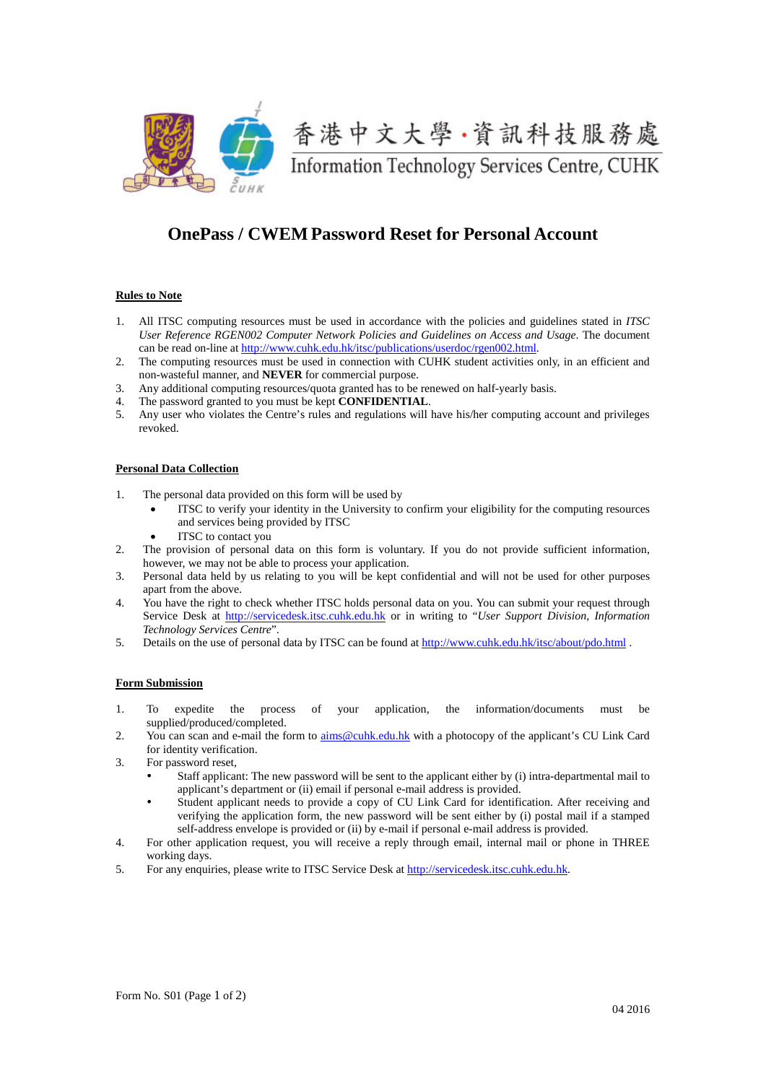

# **OnePass / CWEM Password Reset for Personal Account**

#### **Rules to Note**

- 1. All ITSC computing resources must be used in accordance with the policies and guidelines stated in *ITSC User Reference RGEN002 Computer Network Policies and Guidelines on Access and Usage*. The document can be read on-line at [http://www.cuhk.edu.hk/itsc/publications/userdoc/rgen002.html.](http://www.cuhk.edu.hk/itsc/publications/userdoc/rgen002.html)
- 2. The computing resources must be used in connection with CUHK student activities only, in an efficient and non-wasteful manner, and **NEVER** for commercial purpose.
- 3. Any additional computing resources/quota granted has to be renewed on half-yearly basis.<br>4. The password granted to you must be kept **CONFIDENTIAI**.
- 4. The password granted to you must be kept **CONFIDENTIAL**.
- 5. Any user who violates the Centre's rules and regulations will have his/her computing account and privileges revoked.

#### **Personal Data Collection**

- 1. The personal data provided on this form will be used by
	- ITSC to verify your identity in the University to confirm your eligibility for the computing resources and services being provided by ITSC
		- ITSC to contact you
- 2. The provision of personal data on this form is voluntary. If you do not provide sufficient information, however, we may not be able to process your application.
- 3. Personal data held by us relating to you will be kept confidential and will not be used for other purposes apart from the above.
- 4. You have the right to check whether ITSC holds personal data on you. You can submit your request through Service Desk at [http://servicedesk.itsc.cuhk.edu.hk](http://servicedesk.itsc.cuhk.edu.hk/) or in writing to "*User Support Division, Information Technology Services Centre*".
- 5. Details on the use of personal data by ITSC can be found at<http://www.cuhk.edu.hk/itsc/about/pdo.html> .

#### **Form Submission**

- 1. To expedite the process of your application, the information/documents must be supplied/produced/completed.
- 2. You can scan and e-mail the form to [aims@cuhk.edu.hk](mailto:aims@cuhk.edu.hk) with a photocopy of the applicant's CU Link Card for identity verification.
- 3. For password reset,
	- Staff applicant: The new password will be sent to the applicant either by (i) intra-departmental mail to applicant's department or (ii) email if personal e-mail address is provided.
	- Student applicant needs to provide a copy of CU Link Card for identification. After receiving and verifying the application form, the new password will be sent either by (i) postal mail if a stamped self-address envelope is provided or (ii) by e-mail if personal e-mail address is provided.
- 4. For other application request, you will receive a reply through email, internal mail or phone in THREE working days.
- 5. For any enquiries, please write to ITSC Service Desk a[t http://servicedesk.itsc.cuhk.edu.hk.](http://servicedesk.itsc.cuhk.edu.hk/)